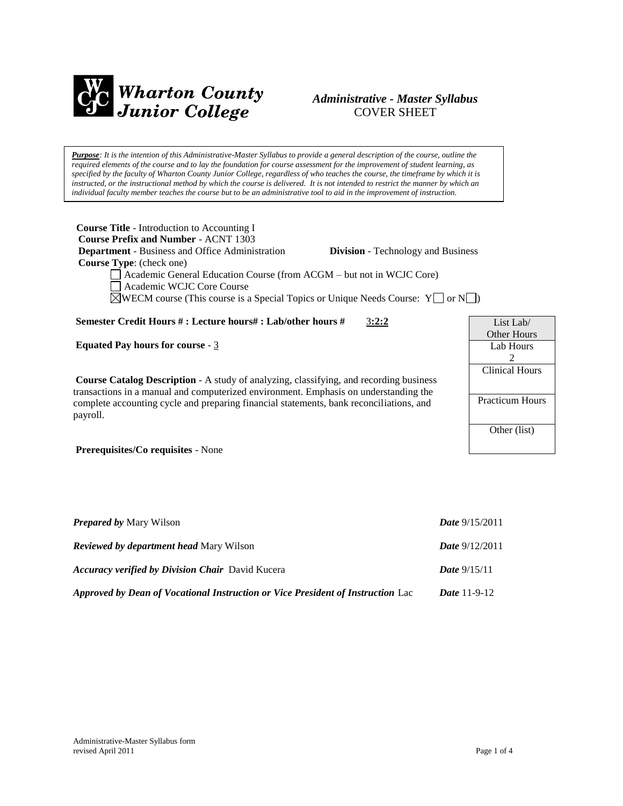

# *Administrative - Master Syllabus*  COVER SHEET

*Purpose: It is the intention of this Administrative-Master Syllabus to provide a general description of the course, outline the required elements of the course and to lay the foundation for course assessment for the improvement of student learning, as specified by the faculty of Wharton County Junior College, regardless of who teaches the course, the timeframe by which it is instructed, or the instructional method by which the course is delivered. It is not intended to restrict the manner by which an individual faculty member teaches the course but to be an administrative tool to aid in the improvement of instruction.*

| <b>Course Title</b> - Introduction to Accounting I                                                 |                                           |  |
|----------------------------------------------------------------------------------------------------|-------------------------------------------|--|
| <b>Course Prefix and Number - ACNT 1303</b>                                                        |                                           |  |
| <b>Department</b> - Business and Office Administration                                             | <b>Division</b> - Technology and Business |  |
| <b>Course Type:</b> (check one)                                                                    |                                           |  |
| Academic General Education Course (from ACGM – but not in WCJC Core)                               |                                           |  |
| Academic WCJC Core Course                                                                          |                                           |  |
| $\mathbb{R}$ WECM course (This course is a Special Topics or Unique Needs Course: $Y \cap \{N\}$ ) |                                           |  |
|                                                                                                    |                                           |  |

**Semester Credit Hours # : Lecture hours# : Lab/other hours #** 3**:2:2**

**Equated Pay hours for course** - 3

**Course Catalog Description** - A study of analyzing, classifying, and recording business transactions in a manual and computerized environment. Emphasis on understanding the complete accounting cycle and preparing financial statements, bank reconciliations, and payroll.

**Prerequisites/Co requisites** - None

| <b>Prepared by Mary Wilson</b>                                                  | <b>Date</b> $9/15/2011$ |
|---------------------------------------------------------------------------------|-------------------------|
| <b>Reviewed by department head Mary Wilson</b>                                  | <b>Date</b> $9/12/2011$ |
| <b>Accuracy verified by Division Chair</b> David Kucera                         | <b>Date</b> $9/15/11$   |
| Approved by Dean of Vocational Instruction or Vice President of Instruction Lac | <i>Date</i> $11-9-12$   |

| List Lab/              |  |
|------------------------|--|
| Other Hours            |  |
| Lab Hours              |  |
| 2                      |  |
| <b>Clinical Hours</b>  |  |
|                        |  |
|                        |  |
| <b>Practicum Hours</b> |  |
|                        |  |
| Other (list)           |  |
|                        |  |
|                        |  |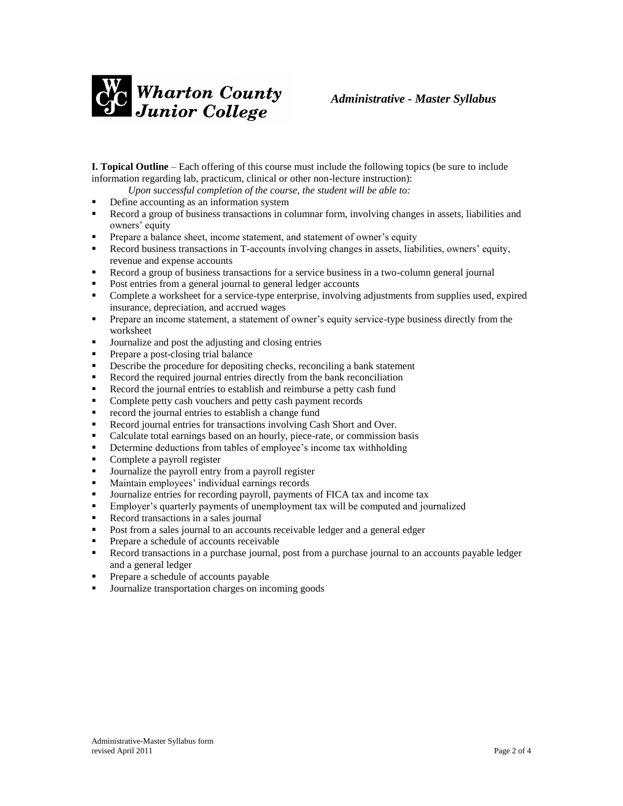

**I. Topical Outline** – Each offering of this course must include the following topics (be sure to include information regarding lab, practicum, clinical or other non-lecture instruction):

*Upon successful completion of the course, the student will be able to:*

- Define accounting as an information system
- Record a group of business transactions in columnar form, involving changes in assets, liabilities and owners' equity
- Prepare a balance sheet, income statement, and statement of owner's equity
- Record business transactions in T-accounts involving changes in assets, liabilities, owners' equity, revenue and expense accounts
- Record a group of business transactions for a service business in a two-column general journal
- **Post entries from a general journal to general ledger accounts**
- Complete a worksheet for a service-type enterprise, involving adjustments from supplies used, expired insurance, depreciation, and accrued wages
- **Prepare an income statement, a statement of owner's equity service-type business directly from the** worksheet
- Journalize and post the adjusting and closing entries
- **Prepare a post-closing trial balance**
- Describe the procedure for depositing checks, reconciling a bank statement
- Record the required journal entries directly from the bank reconciliation
- Record the journal entries to establish and reimburse a petty cash fund
- **•** Complete petty cash vouchers and petty cash payment records
- **•** record the journal entries to establish a change fund
- Record journal entries for transactions involving Cash Short and Over.
- Calculate total earnings based on an hourly, piece-rate, or commission basis
- **•** Determine deductions from tables of employee's income tax withholding
- Complete a payroll register
- **Journalize the payroll entry from a payroll register**
- Maintain employees' individual earnings records
- Journalize entries for recording payroll, payments of FICA tax and income tax
- Employer's quarterly payments of unemployment tax will be computed and journalized
- Record transactions in a sales journal
- Post from a sales journal to an accounts receivable ledger and a general edger
- **Prepare a schedule of accounts receivable**
- Record transactions in a purchase journal, post from a purchase journal to an accounts payable ledger and a general ledger
- Prepare a schedule of accounts payable
- Journalize transportation charges on incoming goods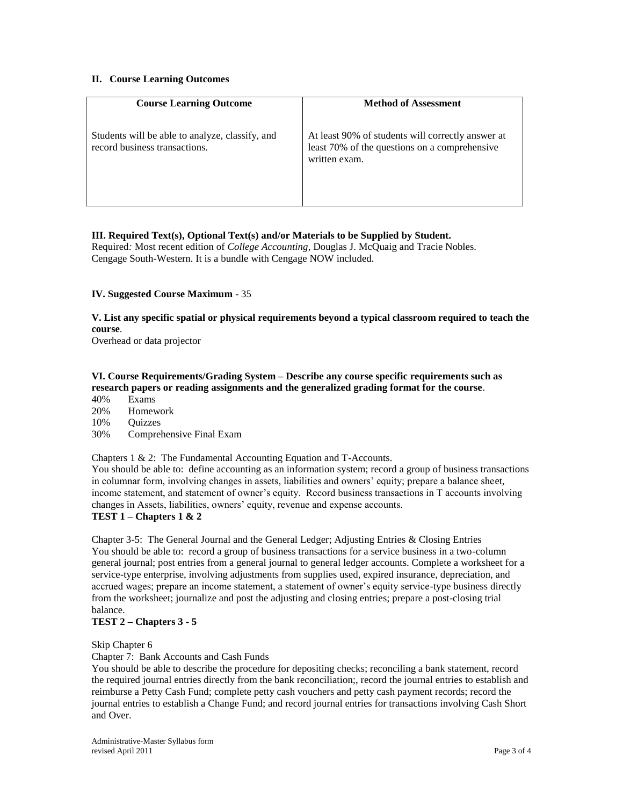## **II. Course Learning Outcomes**

| <b>Course Learning Outcome</b>                                                   | <b>Method of Assessment</b>                                                                                         |
|----------------------------------------------------------------------------------|---------------------------------------------------------------------------------------------------------------------|
| Students will be able to analyze, classify, and<br>record business transactions. | At least 90% of students will correctly answer at<br>least 70% of the questions on a comprehensive<br>written exam. |

## **III. Required Text(s), Optional Text(s) and/or Materials to be Supplied by Student.**

Required*:* Most recent edition of *College Accounting*, Douglas J. McQuaig and Tracie Nobles. Cengage South-Western. It is a bundle with Cengage NOW included.

## **IV. Suggested Course Maximum** - 35

**V. List any specific spatial or physical requirements beyond a typical classroom required to teach the course**.

Overhead or data projector

# **VI. Course Requirements/Grading System – Describe any course specific requirements such as research papers or reading assignments and the generalized grading format for the course**.

- 40% Exams
- 20% Homework
- 10% Quizzes
- 30% Comprehensive Final Exam

Chapters 1 & 2: The Fundamental Accounting Equation and T-Accounts.

You should be able to: define accounting as an information system; record a group of business transactions in columnar form, involving changes in assets, liabilities and owners' equity; prepare a balance sheet, income statement, and statement of owner's equity. Record business transactions in T accounts involving changes in Assets, liabilities, owners' equity, revenue and expense accounts.

# **TEST 1 – Chapters 1 & 2**

Chapter 3-5: The General Journal and the General Ledger; Adjusting Entries & Closing Entries You should be able to: record a group of business transactions for a service business in a two-column general journal; post entries from a general journal to general ledger accounts. Complete a worksheet for a service-type enterprise, involving adjustments from supplies used, expired insurance, depreciation, and accrued wages; prepare an income statement, a statement of owner's equity service-type business directly from the worksheet; journalize and post the adjusting and closing entries; prepare a post-closing trial balance.

# **TEST 2 – Chapters 3 - 5**

#### Skip Chapter 6

Chapter 7: Bank Accounts and Cash Funds

You should be able to describe the procedure for depositing checks; reconciling a bank statement, record the required journal entries directly from the bank reconciliation;, record the journal entries to establish and reimburse a Petty Cash Fund; complete petty cash vouchers and petty cash payment records; record the journal entries to establish a Change Fund; and record journal entries for transactions involving Cash Short and Over.